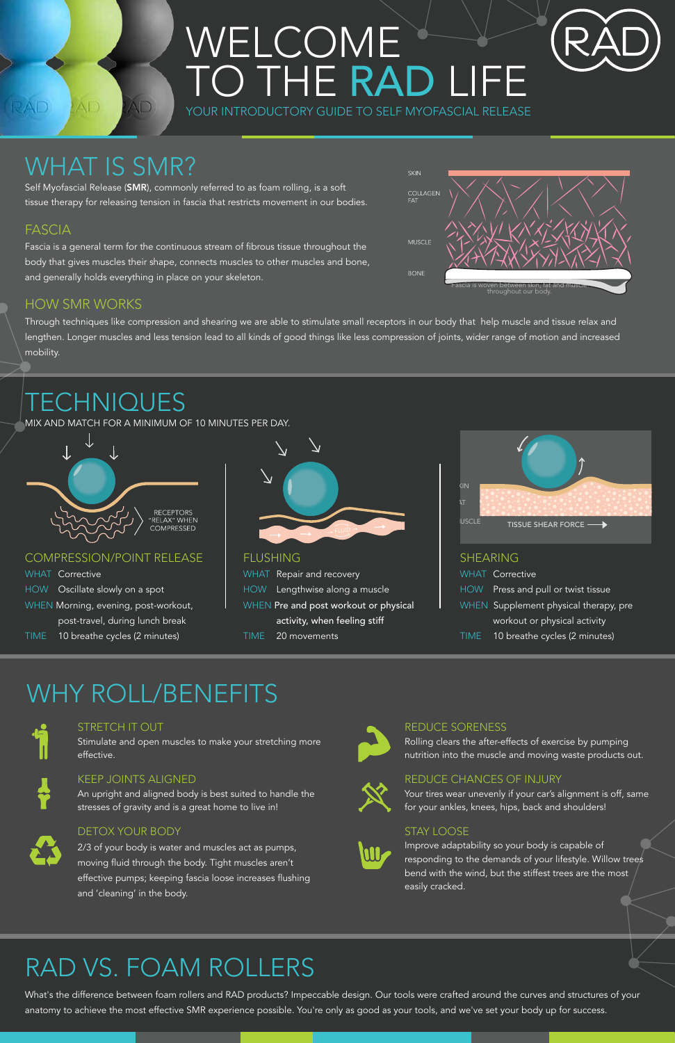# WELCOME TO THE RAD LIFE

YOUR INTRODUCTORY GUIDE TO SELF MYOFASCIAL RELEASE

### WHAT IS SMR?

ĂD

**AD** 

Self Myofascial Release (SMR), commonly referred to as foam rolling, is a soft tissue therapy for releasing tension in fascia that restricts movement in our bodies.

### FASCIA

RAD

Fascia is a general term for the continuous stream of fibrous tissue throughout the body that gives muscles their shape, connects muscles to other muscles and bone, and generally holds everything in place on your skeleton.

### HOW SMR WORKS

2/3 of your body is water and muscles act as pumps, moving fluid through the body. Tight muscles aren't effective pumps; keeping fascia loose increases flushing and 'cleaning' in the body.



Through techniques like compression and shearing we are able to stimulate small receptors in our body that help muscle and tissue relax and lengthen. Longer muscles and less tension lead to all kinds of good things like less compression of joints, wider range of motion and increased mobility.

#### STRETCH IT OUT

Stimulate and open muscles to make your stretching more effective.



#### KEEP JOINTS ALIGNED

An upright and aligned body is best suited to handle the stresses of gravity and is a great home to live in!

#### DETOX YOUR BODY



#### REDUCE SORENESS

Rolling clears the after-effects of exercise by pumping nutrition into the muscle and moving waste products out.



#### REDUCE CHANCES OF INJURY

Your tires wear unevenly if your car's alignment is off, same for your ankles, knees, hips, back and shoulders!

#### STAY LOOSE



Improve adaptability so your body is capable of responding to the demands of your lifestyle. Willow trees bend with the wind, but the stiffest trees are the most easily cracked.

## WHY ROLL/BENEFITS

What's the difference between foam rollers and RAD products? Impeccable design. Our tools were crafted around the curves and structures of your anatomy to achieve the most effective SMR experience possible. You're only as good as your tools, and we've set your body up for success.

### RAD VS. FOAM ROLLERS

#### SHEARING

WHAT Corrective

- WHEN Supplement physical therapy, pre
	- workout or physical activity
- TIME 10 breathe cycles (2 minutes)

#### COMPRESSION/POINT RELEASE

WHAT Corrective

- HOW Oscillate slowly on a spot
- WHEN Morning, evening, post-workout,
- post-travel, during lunch break
- TIME 10 breathe cycles (2 minutes)



#### FLUSHING

WHAT Repair and recovery

HOW Lengthwise along a muscle

- WHEN Pre and post workout or physical
- activity, when feeling stiff
- TIME 20 movements

### TECHNIQUES

MIX AND MATCH FOR A MINIMUM OF 10 MINUTES PER DAY.